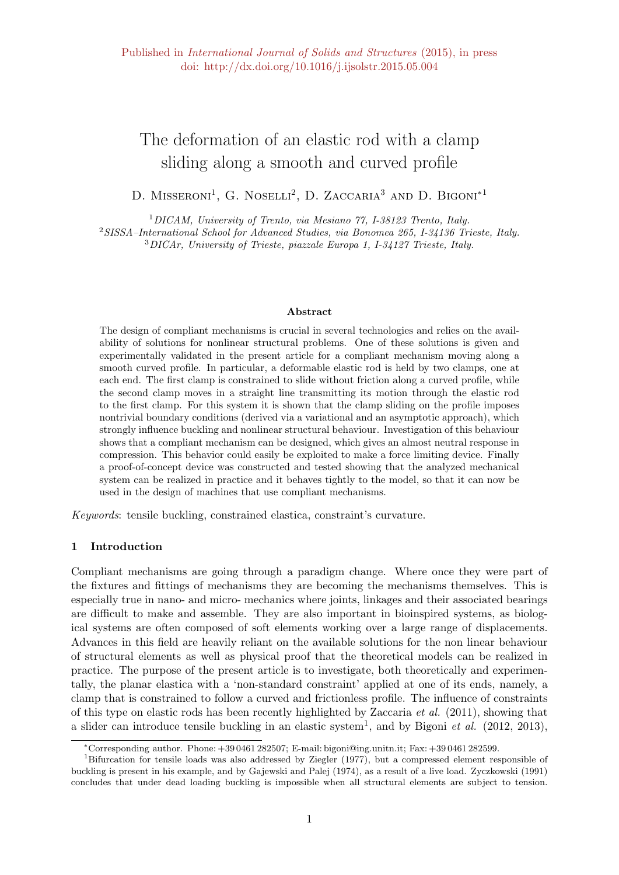# The deformation of an elastic rod with a clamp sliding along a smooth and curved profile

D. MISSERONI<sup>1</sup>, G. NOSELLI<sup>2</sup>, D. ZACCARIA<sup>3</sup> AND D. BIGONI<sup>\*1</sup>

<sup>1</sup>DICAM, University of Trento, via Mesiano 77, I-38123 Trento, Italy. <sup>2</sup>SISSA–International School for Advanced Studies, via Bonomea 265, I-34136 Trieste, Italy. <sup>3</sup>DICAr, University of Trieste, piazzale Europa 1, I-34127 Trieste, Italy.

#### Abstract

The design of compliant mechanisms is crucial in several technologies and relies on the availability of solutions for nonlinear structural problems. One of these solutions is given and experimentally validated in the present article for a compliant mechanism moving along a smooth curved profile. In particular, a deformable elastic rod is held by two clamps, one at each end. The first clamp is constrained to slide without friction along a curved profile, while the second clamp moves in a straight line transmitting its motion through the elastic rod to the first clamp. For this system it is shown that the clamp sliding on the profile imposes nontrivial boundary conditions (derived via a variational and an asymptotic approach), which strongly influence buckling and nonlinear structural behaviour. Investigation of this behaviour shows that a compliant mechanism can be designed, which gives an almost neutral response in compression. This behavior could easily be exploited to make a force limiting device. Finally a proof-of-concept device was constructed and tested showing that the analyzed mechanical system can be realized in practice and it behaves tightly to the model, so that it can now be used in the design of machines that use compliant mechanisms.

Keywords: tensile buckling, constrained elastica, constraint's curvature.

## 1 Introduction

Compliant mechanisms are going through a paradigm change. Where once they were part of the fixtures and fittings of mechanisms they are becoming the mechanisms themselves. This is especially true in nano- and micro- mechanics where joints, linkages and their associated bearings are difficult to make and assemble. They are also important in bioinspired systems, as biological systems are often composed of soft elements working over a large range of displacements. Advances in this field are heavily reliant on the available solutions for the non linear behaviour of structural elements as well as physical proof that the theoretical models can be realized in practice. The purpose of the present article is to investigate, both theoretically and experimentally, the planar elastica with a 'non-standard constraint' applied at one of its ends, namely, a clamp that is constrained to follow a curved and frictionless profile. The influence of constraints of this type on elastic rods has been recently highlighted by Zaccaria *et al.* (2011), showing that a slider can introduce tensile buckling in an elastic system<sup>1</sup>, and by Bigoni *et al.* (2012, 2013),

<sup>∗</sup>Corresponding author. Phone: +39 0461 282507; E-mail: bigoni@ing.unitn.it; Fax: +39 0461 282599.

<sup>1</sup>Bifurcation for tensile loads was also addressed by Ziegler (1977), but a compressed element responsible of buckling is present in his example, and by Gajewski and Palej (1974), as a result of a live load. Zyczkowski (1991) concludes that under dead loading buckling is impossible when all structural elements are subject to tension.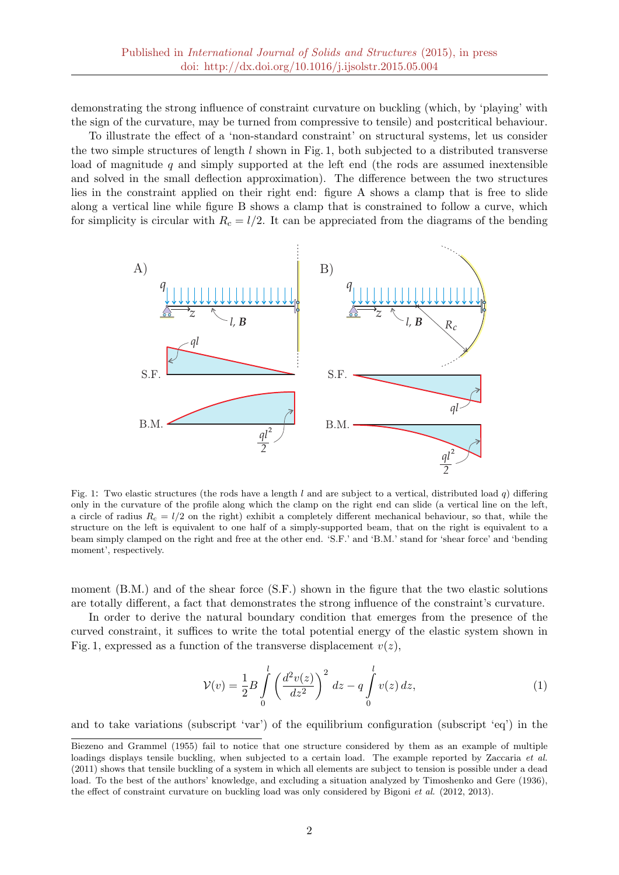demonstrating the strong influence of constraint curvature on buckling (which, by 'playing' with the sign of the curvature, may be turned from compressive to tensile) and postcritical behaviour.

To illustrate the effect of a 'non-standard constraint' on structural systems, let us consider the two simple structures of length  $l$  shown in Fig. 1, both subjected to a distributed transverse load of magnitude  $q$  and simply supported at the left end (the rods are assumed inextensible and solved in the small deflection approximation). The difference between the two structures lies in the constraint applied on their right end: figure A shows a clamp that is free to slide along a vertical line while figure B shows a clamp that is constrained to follow a curve, which for simplicity is circular with  $R_c = l/2$ . It can be appreciated from the diagrams of the bending



Fig. 1: Two elastic structures (the rods have a length l and are subject to a vertical, distributed load q) differing only in the curvature of the profile along which the clamp on the right end can slide (a vertical line on the left, a circle of radius  $R_c = l/2$  on the right) exhibit a completely different mechanical behaviour, so that, while the structure on the left is equivalent to one half of a simply-supported beam, that on the right is equivalent to a beam simply clamped on the right and free at the other end. 'S.F.' and 'B.M.' stand for 'shear force' and 'bending moment', respectively.

moment (B.M.) and of the shear force (S.F.) shown in the figure that the two elastic solutions are totally different, a fact that demonstrates the strong influence of the constraint's curvature.

In order to derive the natural boundary condition that emerges from the presence of the curved constraint, it suffices to write the total potential energy of the elastic system shown in Fig. 1, expressed as a function of the transverse displacement  $v(z)$ ,

$$
\mathcal{V}(v) = \frac{1}{2}B \int_{0}^{l} \left(\frac{d^2v(z)}{dz^2}\right)^2 dz - q \int_{0}^{l} v(z) dz,
$$
 (1)

and to take variations (subscript 'var') of the equilibrium configuration (subscript 'eq') in the

Biezeno and Grammel (1955) fail to notice that one structure considered by them as an example of multiple loadings displays tensile buckling, when subjected to a certain load. The example reported by Zaccaria et al. (2011) shows that tensile buckling of a system in which all elements are subject to tension is possible under a dead load. To the best of the authors' knowledge, and excluding a situation analyzed by Timoshenko and Gere (1936), the effect of constraint curvature on buckling load was only considered by Bigoni et al. (2012, 2013).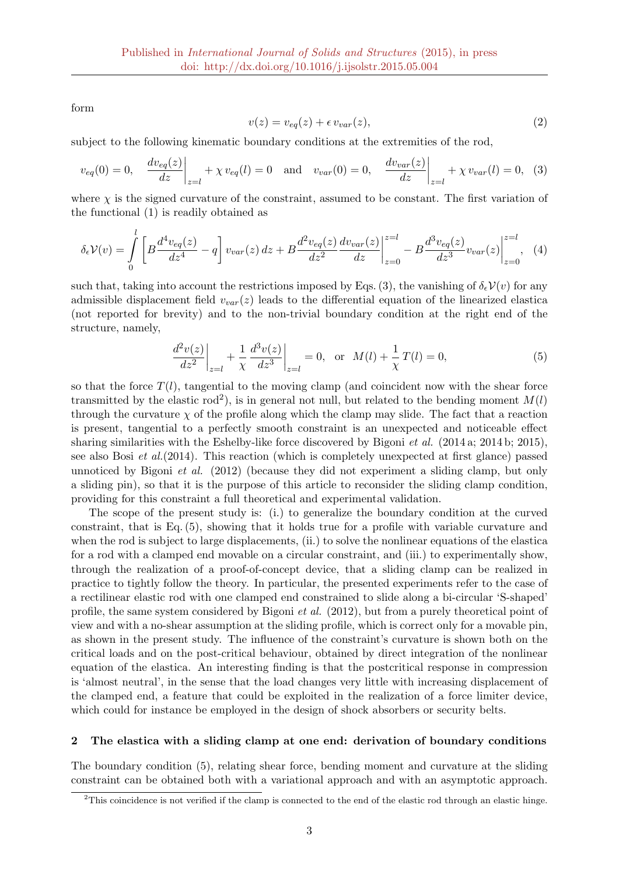form

$$
v(z) = v_{eq}(z) + \epsilon v_{var}(z),\tag{2}
$$

subject to the following kinematic boundary conditions at the extremities of the rod,

$$
v_{eq}(0) = 0, \quad \frac{dv_{eq}(z)}{dz}\bigg|_{z=l} + \chi v_{eq}(l) = 0 \quad \text{and} \quad v_{var}(0) = 0, \quad \frac{dv_{var}(z)}{dz}\bigg|_{z=l} + \chi v_{var}(l) = 0, \quad (3)
$$

where  $\chi$  is the signed curvature of the constraint, assumed to be constant. The first variation of the functional (1) is readily obtained as

$$
\delta_{\epsilon} \mathcal{V}(v) = \int_{0}^{l} \left[ B \frac{d^4 v_{eq}(z)}{dz^4} - q \right] v_{var}(z) \, dz + B \frac{d^2 v_{eq}(z)}{dz^2} \frac{dv_{var}(z)}{dz} \bigg|_{z=0}^{z=l} - B \frac{d^3 v_{eq}(z)}{dz^3} v_{var}(z) \bigg|_{z=0}^{z=l}, \tag{4}
$$

such that, taking into account the restrictions imposed by Eqs. (3), the vanishing of  $\delta_{\epsilon}V(v)$  for any admissible displacement field  $v_{var}(z)$  leads to the differential equation of the linearized elastica (not reported for brevity) and to the non-trivial boundary condition at the right end of the structure, namely,

$$
\left. \frac{d^2v(z)}{dz^2} \right|_{z=l} + \frac{1}{\chi} \left. \frac{d^3v(z)}{dz^3} \right|_{z=l} = 0, \text{ or } M(l) + \frac{1}{\chi} T(l) = 0,
$$
\n(5)

so that the force  $T(l)$ , tangential to the moving clamp (and coincident now with the shear force transmitted by the elastic rod<sup>2</sup>), is in general not null, but related to the bending moment  $M(l)$ through the curvature  $\chi$  of the profile along which the clamp may slide. The fact that a reaction is present, tangential to a perfectly smooth constraint is an unexpected and noticeable effect sharing similarities with the Eshelby-like force discovered by Bigoni et al. (2014 a; 2014 b; 2015), see also Bosi et al.(2014). This reaction (which is completely unexpected at first glance) passed unnoticed by Bigoni *et al.* (2012) (because they did not experiment a sliding clamp, but only a sliding pin), so that it is the purpose of this article to reconsider the sliding clamp condition, providing for this constraint a full theoretical and experimental validation.

The scope of the present study is: (i.) to generalize the boundary condition at the curved constraint, that is Eq. (5), showing that it holds true for a profile with variable curvature and when the rod is subject to large displacements, (ii.) to solve the nonlinear equations of the elastica for a rod with a clamped end movable on a circular constraint, and (iii.) to experimentally show, through the realization of a proof-of-concept device, that a sliding clamp can be realized in practice to tightly follow the theory. In particular, the presented experiments refer to the case of a rectilinear elastic rod with one clamped end constrained to slide along a bi-circular 'S-shaped' profile, the same system considered by Bigoni et al. (2012), but from a purely theoretical point of view and with a no-shear assumption at the sliding profile, which is correct only for a movable pin, as shown in the present study. The influence of the constraint's curvature is shown both on the critical loads and on the post-critical behaviour, obtained by direct integration of the nonlinear equation of the elastica. An interesting finding is that the postcritical response in compression is 'almost neutral', in the sense that the load changes very little with increasing displacement of the clamped end, a feature that could be exploited in the realization of a force limiter device, which could for instance be employed in the design of shock absorbers or security belts.

#### 2 The elastica with a sliding clamp at one end: derivation of boundary conditions

The boundary condition (5), relating shear force, bending moment and curvature at the sliding constraint can be obtained both with a variational approach and with an asymptotic approach.

 $2$ This coincidence is not verified if the clamp is connected to the end of the elastic rod through an elastic hinge.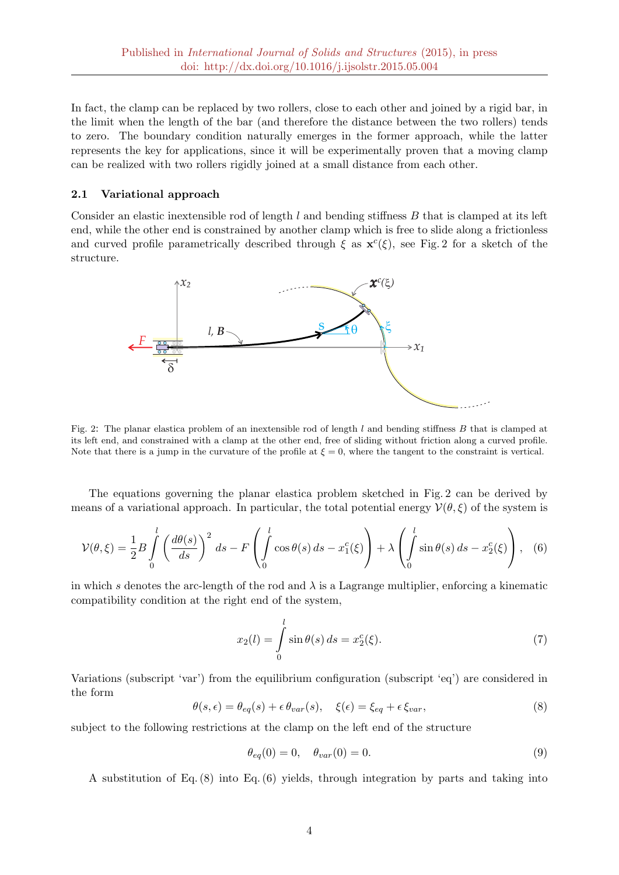In fact, the clamp can be replaced by two rollers, close to each other and joined by a rigid bar, in the limit when the length of the bar (and therefore the distance between the two rollers) tends to zero. The boundary condition naturally emerges in the former approach, while the latter represents the key for applications, since it will be experimentally proven that a moving clamp can be realized with two rollers rigidly joined at a small distance from each other.

## 2.1 Variational approach

Consider an elastic inextensible rod of length  $l$  and bending stiffness  $B$  that is clamped at its left end, while the other end is constrained by another clamp which is free to slide along a frictionless and curved profile parametrically described through  $\xi$  as  $\mathbf{x}^c(\xi)$ , see Fig. 2 for a sketch of the structure.



Fig. 2: The planar elastica problem of an inextensible rod of length l and bending stiffness B that is clamped at its left end, and constrained with a clamp at the other end, free of sliding without friction along a curved profile. Note that there is a jump in the curvature of the profile at  $\xi = 0$ , where the tangent to the constraint is vertical.

The equations governing the planar elastica problem sketched in Fig. 2 can be derived by means of a variational approach. In particular, the total potential energy  $V(\theta, \xi)$  of the system is

$$
\mathcal{V}(\theta,\xi) = \frac{1}{2}B\int_{0}^{l} \left(\frac{d\theta(s)}{ds}\right)^{2} ds - F\left(\int_{0}^{l} \cos\theta(s) ds - x_{1}^{c}(\xi)\right) + \lambda \left(\int_{0}^{l} \sin\theta(s) ds - x_{2}^{c}(\xi)\right), \quad (6)
$$

in which s denotes the arc-length of the rod and  $\lambda$  is a Lagrange multiplier, enforcing a kinematic compatibility condition at the right end of the system,

$$
x_2(l) = \int_0^l \sin \theta(s) \, ds = x_2^c(\xi). \tag{7}
$$

Variations (subscript 'var') from the equilibrium configuration (subscript 'eq') are considered in the form

$$
\theta(s,\epsilon) = \theta_{eq}(s) + \epsilon \theta_{var}(s), \quad \xi(\epsilon) = \xi_{eq} + \epsilon \xi_{var}, \tag{8}
$$

subject to the following restrictions at the clamp on the left end of the structure

$$
\theta_{eq}(0) = 0, \quad \theta_{var}(0) = 0.
$$
\n
$$
(9)
$$

A substitution of Eq. (8) into Eq. (6) yields, through integration by parts and taking into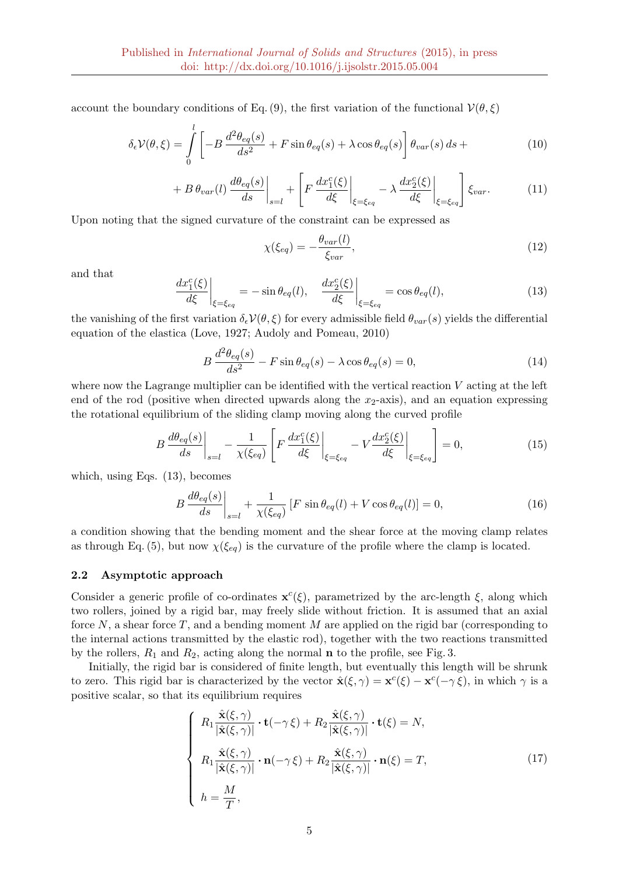account the boundary conditions of Eq. (9), the first variation of the functional  $\mathcal{V}(\theta,\xi)$ 

$$
\delta_{\epsilon} \mathcal{V}(\theta, \xi) = \int_{0}^{l} \left[ -B \, \frac{d^2 \theta_{eq}(s)}{ds^2} + F \sin \theta_{eq}(s) + \lambda \cos \theta_{eq}(s) \right] \theta_{var}(s) \, ds + \tag{10}
$$

$$
+ B \theta_{var}(l) \frac{d\theta_{eq}(s)}{ds} \bigg|_{s=l} + \left[ F \frac{dx_1^c(\xi)}{d\xi} \bigg|_{\xi = \xi_{eq}} - \lambda \frac{dx_2^c(\xi)}{d\xi} \bigg|_{\xi = \xi_{eq}} \right] \xi_{var}.
$$
 (11)

Upon noting that the signed curvature of the constraint can be expressed as

$$
\chi(\xi_{eq}) = -\frac{\theta_{var}(l)}{\xi_{var}},\tag{12}
$$

and that

$$
\left. \frac{dx_1^c(\xi)}{d\xi} \right|_{\xi = \xi_{eq}} = -\sin \theta_{eq}(l), \quad \left. \frac{dx_2^c(\xi)}{d\xi} \right|_{\xi = \xi_{eq}} = \cos \theta_{eq}(l), \tag{13}
$$

the vanishing of the first variation  $\delta_{\epsilon}V(\theta, \xi)$  for every admissible field  $\theta_{var}(s)$  yields the differential equation of the elastica (Love, 1927; Audoly and Pomeau, 2010)

$$
B\frac{d^2\theta_{eq}(s)}{ds^2} - F\sin\theta_{eq}(s) - \lambda\cos\theta_{eq}(s) = 0,
$$
\n(14)

where now the Lagrange multiplier can be identified with the vertical reaction  $V$  acting at the left end of the rod (positive when directed upwards along the  $x_2$ -axis), and an equation expressing the rotational equilibrium of the sliding clamp moving along the curved profile

$$
B\frac{d\theta_{eq}(s)}{ds}\bigg|_{s=l} - \frac{1}{\chi(\xi_{eq})} \left[ F\frac{dx_1^c(\xi)}{d\xi} \bigg|_{\xi=\xi_{eq}} - V\frac{dx_2^c(\xi)}{d\xi} \bigg|_{\xi=\xi_{eq}} \right] = 0, \tag{15}
$$

which, using Eqs. (13), becomes

$$
B\frac{d\theta_{eq}(s)}{ds}\bigg|_{s=l} + \frac{1}{\chi(\xi_{eq})} \left[ F\,\sin\theta_{eq}(l) + V\cos\theta_{eq}(l) \right] = 0,\tag{16}
$$

a condition showing that the bending moment and the shear force at the moving clamp relates as through Eq. (5), but now  $\chi(\xi_{eq})$  is the curvature of the profile where the clamp is located.

#### 2.2 Asymptotic approach

Consider a generic profile of co-ordinates  $\mathbf{x}^c(\xi)$ , parametrized by the arc-length  $\xi$ , along which two rollers, joined by a rigid bar, may freely slide without friction. It is assumed that an axial force  $N$ , a shear force  $T$ , and a bending moment  $M$  are applied on the rigid bar (corresponding to the internal actions transmitted by the elastic rod), together with the two reactions transmitted by the rollers,  $R_1$  and  $R_2$ , acting along the normal **n** to the profile, see Fig. 3.

Initially, the rigid bar is considered of finite length, but eventually this length will be shrunk to zero. This rigid bar is characterized by the vector  $\hat{\mathbf{x}}(\xi, \gamma) = \mathbf{x}^c(\xi) - \mathbf{x}^c(-\gamma \xi)$ , in which  $\gamma$  is a positive scalar, so that its equilibrium requires

$$
\begin{cases}\nR_1 \frac{\hat{\mathbf{x}}(\xi, \gamma)}{|\hat{\mathbf{x}}(\xi, \gamma)|} \cdot \mathbf{t}(-\gamma \xi) + R_2 \frac{\hat{\mathbf{x}}(\xi, \gamma)}{|\hat{\mathbf{x}}(\xi, \gamma)|} \cdot \mathbf{t}(\xi) = N, \\
R_1 \frac{\hat{\mathbf{x}}(\xi, \gamma)}{|\hat{\mathbf{x}}(\xi, \gamma)|} \cdot \mathbf{n}(-\gamma \xi) + R_2 \frac{\hat{\mathbf{x}}(\xi, \gamma)}{|\hat{\mathbf{x}}(\xi, \gamma)|} \cdot \mathbf{n}(\xi) = T, \\
h = \frac{M}{T},\n\end{cases}
$$
\n(17)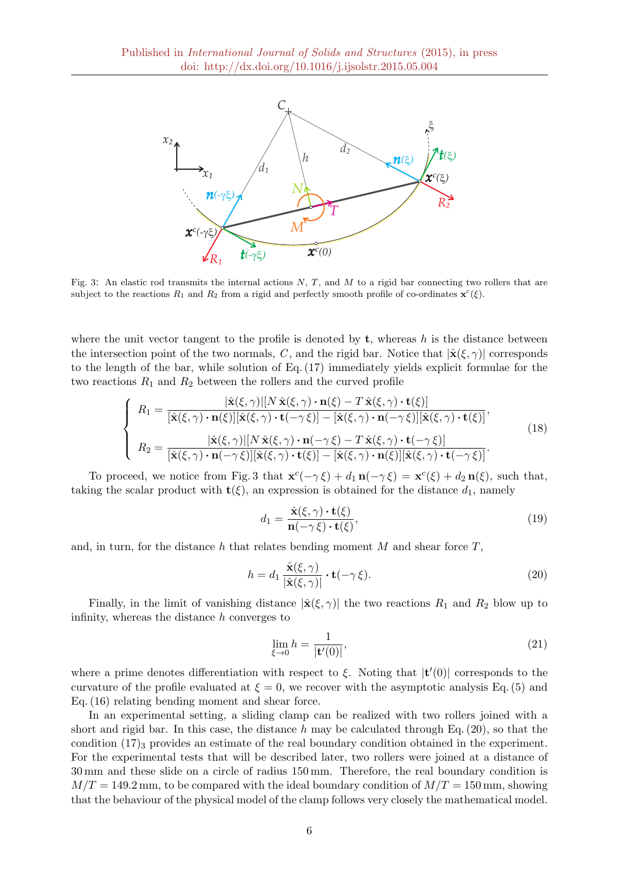

Fig. 3: An elastic rod transmits the internal actions  $N$ ,  $T$ , and  $M$  to a rigid bar connecting two rollers that are subject to the reactions  $R_1$  and  $R_2$  from a rigid and perfectly smooth profile of co-ordinates  $\mathbf{x}^c(\xi)$ .

where the unit vector tangent to the profile is denoted by  $t$ , whereas h is the distance between the intersection point of the two normals, C, and the rigid bar. Notice that  $|\hat{\mathbf{x}}(\xi,\gamma)|$  corresponds to the length of the bar, while solution of Eq. (17) immediately yields explicit formulae for the two reactions  $R_1$  and  $R_2$  between the rollers and the curved profile

$$
\begin{cases}\nR_1 = \frac{|\hat{\mathbf{x}}(\xi,\gamma)||N\,\hat{\mathbf{x}}(\xi,\gamma)\cdot\mathbf{n}(\xi)-T\,\hat{\mathbf{x}}(\xi,\gamma)\cdot\mathbf{t}(\xi)]}{[\hat{\mathbf{x}}(\xi,\gamma)\cdot\mathbf{n}(\xi)][\hat{\mathbf{x}}(\xi,\gamma)\cdot\mathbf{t}(-\gamma\xi)] - [\hat{\mathbf{x}}(\xi,\gamma)\cdot\mathbf{n}(-\gamma\xi)][\hat{\mathbf{x}}(\xi,\gamma)\cdot\mathbf{t}(\xi)]},\\
R_2 = \frac{|\hat{\mathbf{x}}(\xi,\gamma)||N\,\hat{\mathbf{x}}(\xi,\gamma)\cdot\mathbf{n}(-\gamma\xi)-T\,\hat{\mathbf{x}}(\xi,\gamma)\cdot\mathbf{t}(-\gamma\xi)]}{[\hat{\mathbf{x}}(\xi,\gamma)\cdot\mathbf{n}(-\gamma\xi)][\hat{\mathbf{x}}(\xi,\gamma)\cdot\mathbf{t}(\xi)] - [\hat{\mathbf{x}}(\xi,\gamma)\cdot\mathbf{n}(\xi)][\hat{\mathbf{x}}(\xi,\gamma)\cdot\mathbf{t}(-\gamma\xi)]}.\n\end{cases} (18)
$$

To proceed, we notice from Fig. 3 that  $\mathbf{x}^c(-\gamma \xi) + d_1 \mathbf{n}(-\gamma \xi) = \mathbf{x}^c(\xi) + d_2 \mathbf{n}(\xi)$ , such that, taking the scalar product with  $\mathbf{t}(\xi)$ , an expression is obtained for the distance  $d_1$ , namely

$$
d_1 = \frac{\hat{\mathbf{x}}(\xi, \gamma) \cdot \mathbf{t}(\xi)}{\mathbf{n}(-\gamma \xi) \cdot \mathbf{t}(\xi)},\tag{19}
$$

and, in turn, for the distance h that relates bending moment M and shear force  $T$ ,

$$
h = d_1 \frac{\hat{\mathbf{x}}(\xi, \gamma)}{|\hat{\mathbf{x}}(\xi, \gamma)|} \cdot \mathbf{t}(-\gamma \xi). \tag{20}
$$

Finally, in the limit of vanishing distance  $|\hat{\mathbf{x}}(\xi,\gamma)|$  the two reactions  $R_1$  and  $R_2$  blow up to infinity, whereas the distance h converges to

$$
\lim_{\xi \to 0} h = \frac{1}{|\mathbf{t}'(0)|},\tag{21}
$$

where a prime denotes differentiation with respect to  $\xi$ . Noting that  $|t'(0)|$  corresponds to the curvature of the profile evaluated at  $\xi = 0$ , we recover with the asymptotic analysis Eq. (5) and Eq. (16) relating bending moment and shear force.

In an experimental setting, a sliding clamp can be realized with two rollers joined with a short and rigid bar. In this case, the distance h may be calculated through Eq.  $(20)$ , so that the condition  $(17)_3$  provides an estimate of the real boundary condition obtained in the experiment. For the experimental tests that will be described later, two rollers were joined at a distance of 30 mm and these slide on a circle of radius 150 mm. Therefore, the real boundary condition is  $M/T = 149.2$  mm, to be compared with the ideal boundary condition of  $M/T = 150$  mm, showing that the behaviour of the physical model of the clamp follows very closely the mathematical model.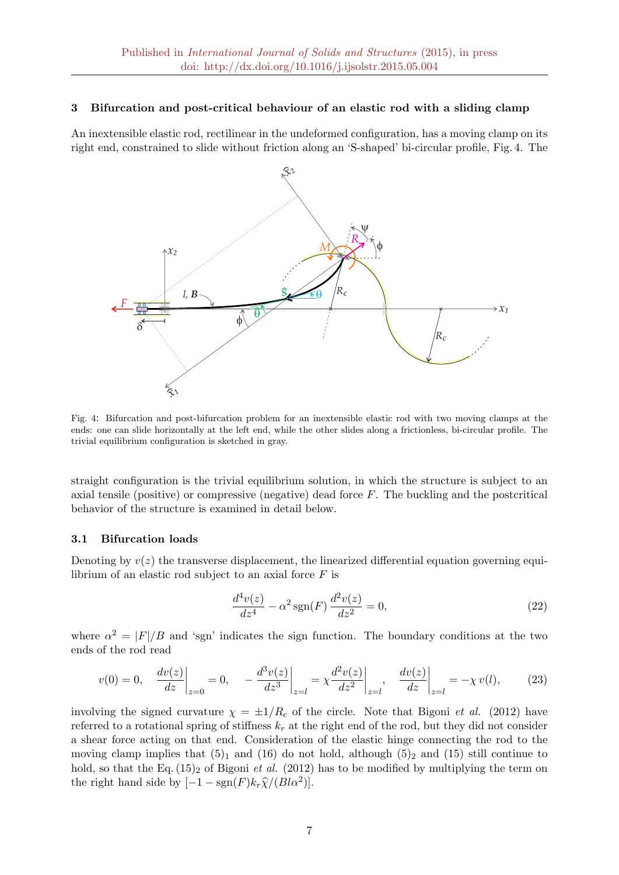## 3 Bifurcation and post-critical behaviour of an elastic rod with a sliding clamp

An inextensible elastic rod, rectilinear in the undeformed configuration, has a moving clamp on its right end, constrained to slide without friction along an 'S-shaped' bi-circular profile, Fig. 4. The



Fig. 4: Bifurcation and post-bifurcation problem for an inextensible elastic rod with two moving clamps at the ends: one can slide horizontally at the left end, while the other slides along a frictionless, bi-circular profile. The trivial equilibrium configuration is sketched in gray.

straight configuration is the trivial equilibrium solution, in which the structure is subject to an axial tensile (positive) or compressive (negative) dead force F. The buckling and the postcritical behavior of the structure is examined in detail below.

## 3.1 Bifurcation loads

Denoting by  $v(z)$  the transverse displacement, the linearized differential equation governing equilibrium of an elastic rod subject to an axial force  $F$  is

$$
\frac{d^4v(z)}{dz^4} - \alpha^2 \operatorname{sgn}(F) \frac{d^2v(z)}{dz^2} = 0,
$$
\n(22)

where  $\alpha^2 = |F|/B$  and 'sgn' indicates the sign function. The boundary conditions at the two ends of the rod read

$$
v(0) = 0, \quad \left. \frac{dv(z)}{dz} \right|_{z=0} = 0, \quad -\left. \frac{d^3v(z)}{dz^3} \right|_{z=l} = \left. \chi \frac{d^2v(z)}{dz^2} \right|_{z=l}, \quad \left. \frac{dv(z)}{dz} \right|_{z=l} = -\chi v(l), \tag{23}
$$

involving the signed curvature  $\chi = \pm 1/R_c$  of the circle. Note that Bigoni *et al.* (2012) have referred to a rotational spring of stiffness  $k_r$  at the right end of the rod, but they did not consider a shear force acting on that end. Consideration of the elastic hinge connecting the rod to the moving clamp implies that  $(5)_1$  and  $(16)$  do not hold, although  $(5)_2$  and  $(15)$  still continue to hold, so that the Eq.  $(15)_2$  of Bigoni *et al.*  $(2012)$  has to be modified by multiplying the term on the right hand side by  $[-1 - \text{sgn}(F)k_r\hat{\chi}/(Bl\alpha^2)].$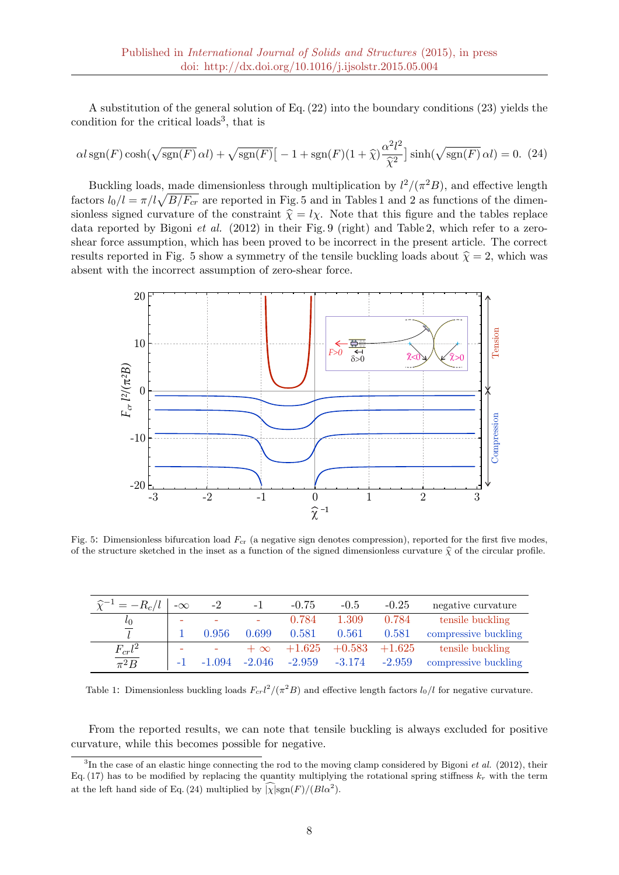A substitution of the general solution of Eq. (22) into the boundary conditions (23) yields the condition for the critical loads<sup>3</sup>, that is

$$
\alpha l \operatorname{sgn}(F) \cosh(\sqrt{\operatorname{sgn}(F)} \alpha l) + \sqrt{\operatorname{sgn}(F)} \left[ -1 + \operatorname{sgn}(F)(1+\widehat{\chi}) \frac{\alpha^2 l^2}{\widehat{\chi}^2} \right] \sinh(\sqrt{\operatorname{sgn}(F)} \alpha l) = 0. \tag{24}
$$

Buckling loads, made dimensionless through multiplication by  $l^2/(\pi^2B)$ , and effective length factors  $l_0/l = \pi/l\sqrt{B/F_{cr}}$  are reported in Fig. 5 and in Tables 1 and 2 as functions of the dimensionless signed curvature of the constraint  $\hat{\chi} = l\chi$ . Note that this figure and the tables replace data reported by Bigoni et al. (2012) in their Fig. 9 (right) and Table 2, which refer to a zeroshear force assumption, which has been proved to be incorrect in the present article. The correct results reported in Fig. 5 show a symmetry of the tensile buckling loads about  $\hat{\chi} = 2$ , which was absent with the incorrect assumption of zero-shear force.



Fig. 5: Dimensionless bifurcation load  $F_{cr}$  (a negative sign denotes compression), reported for the first five modes, of the structure sketched in the inset as a function of the signed dimensionless curvature  $\hat{\chi}$  of the circular profile.

| $\widehat{\chi}^{-1} = -R_c/l$ | $-\infty$ | $-2$                     | - 1                      | $-0.75$  | $-0.5$   | $-0.25$  | negative curvature   |
|--------------------------------|-----------|--------------------------|--------------------------|----------|----------|----------|----------------------|
| $l_{0}$                        | ۰         |                          | $\overline{\phantom{a}}$ | 0.784    | 1.309    | 0.784    | tensile buckling     |
|                                |           | 0.956                    | 0.699                    | 0.581    | 0.561    | 0.581    | compressive buckling |
| $F_{cr}l^2$                    |           | $\overline{\phantom{a}}$ | $+\infty$                | $+1.625$ | $+0.583$ | $+1.625$ | tensile buckling     |
| $\overline{\pi^2B}$            |           | $-1.094$                 | $-2.046$                 | $-2.959$ | $-3.174$ | $-2.959$ | compressive buckling |

Table 1: Dimensionless buckling loads  $F_{cr}l^2/(\pi^2B)$  and effective length factors  $l_0/l$  for negative curvature.

From the reported results, we can note that tensile buckling is always excluded for positive curvature, while this becomes possible for negative.

 ${}^{3}$ In the case of an elastic hinge connecting the rod to the moving clamp considered by Bigoni *et al.* (2012), their Eq. (17) has to be modified by replacing the quantity multiplying the rotational spring stiffness  $k_r$  with the term at the left hand side of Eq. (24) multiplied by  $\sqrt{\chi}$  |sgn(F)/( $Bl\alpha^2$ ).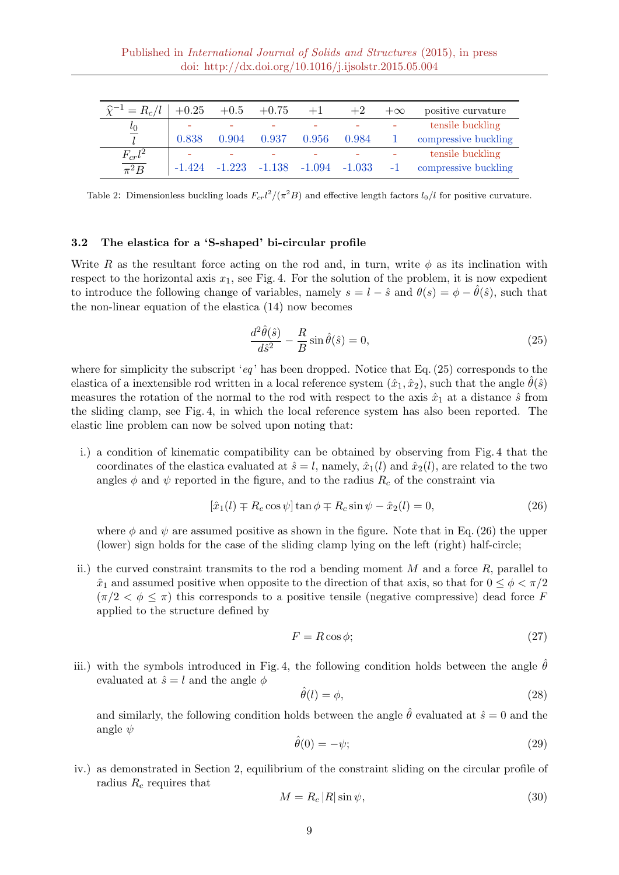| $\widehat{\chi}^{-1} = R_c/l$ | $+0.25$  |                                          | $+0.5 + 0.75$ | $+1$  | $+2$  | $+\infty$ | positive curvature   |
|-------------------------------|----------|------------------------------------------|---------------|-------|-------|-----------|----------------------|
| $\iota_0$                     |          |                                          |               |       |       |           | tensile buckling     |
|                               | 0.838    | 0.904                                    | 0.937         | 0.956 | 0.984 |           | compressive buckling |
| $F_{cr}l^2$                   |          |                                          |               |       |       |           | tensile buckling     |
| $\overline{\pi^2B}$           | $-1.424$ | $-1.223$ $-1.138$ $-1.094$ $-1.033$ $-1$ |               |       |       |           | compressive buckling |

Table 2: Dimensionless buckling loads  $F_{cr}l^2/(\pi^2B)$  and effective length factors  $l_0/l$  for positive curvature.

## 3.2 The elastica for a 'S-shaped' bi-circular profile

Write R as the resultant force acting on the rod and, in turn, write  $\phi$  as its inclination with respect to the horizontal axis  $x_1$ , see Fig. 4. For the solution of the problem, it is now expedient to introduce the following change of variables, namely  $s = l - \hat{s}$  and  $\theta(s) = \phi - \hat{\theta}(\hat{s})$ , such that the non-linear equation of the elastica (14) now becomes

$$
\frac{d^2\hat{\theta}(\hat{s})}{d\hat{s}^2} - \frac{R}{B}\sin\hat{\theta}(\hat{s}) = 0,
$$
\n(25)

where for simplicity the subscript 'eq' has been dropped. Notice that Eq.  $(25)$  corresponds to the elastica of a inextensible rod written in a local reference system  $(\hat{x}_1, \hat{x}_2)$ , such that the angle  $\hat{\theta}(\hat{s})$ measures the rotation of the normal to the rod with respect to the axis  $\hat{x}_1$  at a distance  $\hat{s}$  from the sliding clamp, see Fig. 4, in which the local reference system has also been reported. The elastic line problem can now be solved upon noting that:

i.) a condition of kinematic compatibility can be obtained by observing from Fig. 4 that the coordinates of the elastica evaluated at  $\hat{s} = l$ , namely,  $\hat{x}_1(l)$  and  $\hat{x}_2(l)$ , are related to the two angles  $\phi$  and  $\psi$  reported in the figure, and to the radius  $R_c$  of the constraint via

$$
[\hat{x}_1(l) \mp R_c \cos \psi] \tan \phi \mp R_c \sin \psi - \hat{x}_2(l) = 0,
$$
\n(26)

where  $\phi$  and  $\psi$  are assumed positive as shown in the figure. Note that in Eq. (26) the upper (lower) sign holds for the case of the sliding clamp lying on the left (right) half-circle;

ii.) the curved constraint transmits to the rod a bending moment  $M$  and a force  $R$ , parallel to  $\hat{x}_1$  and assumed positive when opposite to the direction of that axis, so that for  $0 \leq \phi < \pi/2$  $(\pi/2 < \phi \leq \pi)$  this corresponds to a positive tensile (negative compressive) dead force F applied to the structure defined by

$$
F = R\cos\phi; \tag{27}
$$

iii.) with the symbols introduced in Fig. 4, the following condition holds between the angle  $\hat{\theta}$ evaluated at  $\hat{s} = l$  and the angle  $\phi$ 

$$
\hat{\theta}(l) = \phi,\tag{28}
$$

and similarly, the following condition holds between the angle  $\hat{\theta}$  evaluated at  $\hat{s} = 0$  and the angle  $\psi$ 

$$
\hat{\theta}(0) = -\psi; \tag{29}
$$

iv.) as demonstrated in Section 2, equilibrium of the constraint sliding on the circular profile of radius  $R_c$  requires that

$$
M = R_c |R| \sin \psi,\tag{30}
$$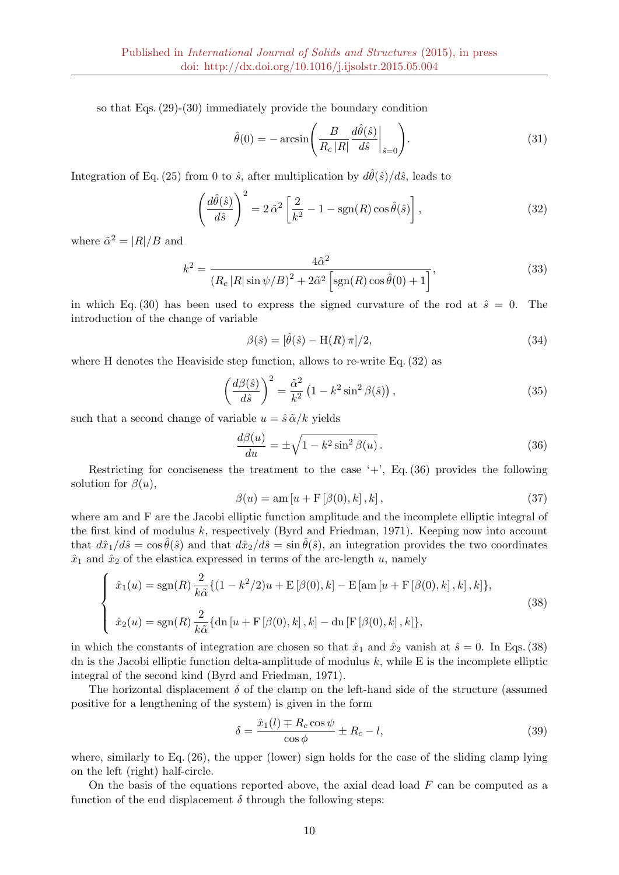so that Eqs. (29)-(30) immediately provide the boundary condition

$$
\hat{\theta}(0) = -\arcsin\left(\frac{B}{R_c|R|}\frac{d\hat{\theta}(\hat{s})}{d\hat{s}}\Big|_{\hat{s}=0}\right).
$$
\n(31)

Integration of Eq. (25) from 0 to  $\hat{s}$ , after multiplication by  $d\hat{\theta}(\hat{s})/d\hat{s}$ , leads to

$$
\left(\frac{d\hat{\theta}(\hat{s})}{d\hat{s}}\right)^2 = 2\,\tilde{\alpha}^2 \left[\frac{2}{k^2} - 1 - \text{sgn}(R)\cos\hat{\theta}(\hat{s})\right],\tag{32}
$$

where  $\tilde{\alpha}^2 = |R|/B$  and

$$
k^{2} = \frac{4\tilde{\alpha}^{2}}{\left(R_{c}\left|R\right|\sin\psi/B\right)^{2} + 2\tilde{\alpha}^{2}\left[\text{sgn}(R)\cos\hat{\theta}(0) + 1\right]},
$$
\n(33)

in which Eq. (30) has been used to express the signed curvature of the rod at  $\hat{s} = 0$ . The introduction of the change of variable

$$
\beta(\hat{s}) = [\hat{\theta}(\hat{s}) - \mathcal{H}(R)\pi]/2,\tag{34}
$$

where H denotes the Heaviside step function, allows to re-write Eq. (32) as

$$
\left(\frac{d\beta(\hat{s})}{d\hat{s}}\right)^2 = \frac{\tilde{\alpha}^2}{k^2} \left(1 - k^2 \sin^2 \beta(\hat{s})\right),\tag{35}
$$

such that a second change of variable  $u = \hat{s} \tilde{\alpha}/k$  yields

$$
\frac{d\beta(u)}{du} = \pm \sqrt{1 - k^2 \sin^2 \beta(u)}.
$$
\n(36)

Restricting for conciseness the treatment to the case  $'$ +', Eq. (36) provides the following solution for  $\beta(u)$ ,

$$
\beta(u) = \operatorname{am}\left[u + \mathcal{F}\left[\beta(0), k\right], k\right],\tag{37}
$$

where am and F are the Jacobi elliptic function amplitude and the incomplete elliptic integral of the first kind of modulus  $k$ , respectively (Byrd and Friedman, 1971). Keeping now into account that  $d\hat{x}_1/d\hat{s} = \cos \hat{\theta}(\hat{s})$  and that  $d\hat{x}_2/d\hat{s} = \sin \hat{\theta}(\hat{s})$ , an integration provides the two coordinates  $\hat{x}_1$  and  $\hat{x}_2$  of the elastica expressed in terms of the arc-length u, namely

$$
\begin{cases}\n\hat{x}_1(u) = \text{sgn}(R) \frac{2}{k\tilde{\alpha}} \{ (1 - k^2/2)u + \text{E} \left[ \beta(0), k \right] - \text{E} \left[ \text{am} \left[ u + \text{F} \left[ \beta(0), k \right], k \right], k \right] \}, \\
\hat{x}_2(u) = \text{sgn}(R) \frac{2}{k\tilde{\alpha}} \{ \text{dn} \left[ u + \text{F} \left[ \beta(0), k \right], k \right] - \text{dn} \left[ \text{F} \left[ \beta(0), k \right], k \right] \},\n\end{cases} \tag{38}
$$

in which the constants of integration are chosen so that  $\hat{x}_1$  and  $\hat{x}_2$  vanish at  $\hat{s} = 0$ . In Eqs. (38) dn is the Jacobi elliptic function delta-amplitude of modulus  $k$ , while E is the incomplete elliptic integral of the second kind (Byrd and Friedman, 1971).

The horizontal displacement  $\delta$  of the clamp on the left-hand side of the structure (assumed positive for a lengthening of the system) is given in the form

$$
\delta = \frac{\hat{x}_1(l) \mp R_c \cos \psi}{\cos \phi} \pm R_c - l,\tag{39}
$$

where, similarly to Eq.  $(26)$ , the upper (lower) sign holds for the case of the sliding clamp lying on the left (right) half-circle.

On the basis of the equations reported above, the axial dead load  $F$  can be computed as a function of the end displacement  $\delta$  through the following steps: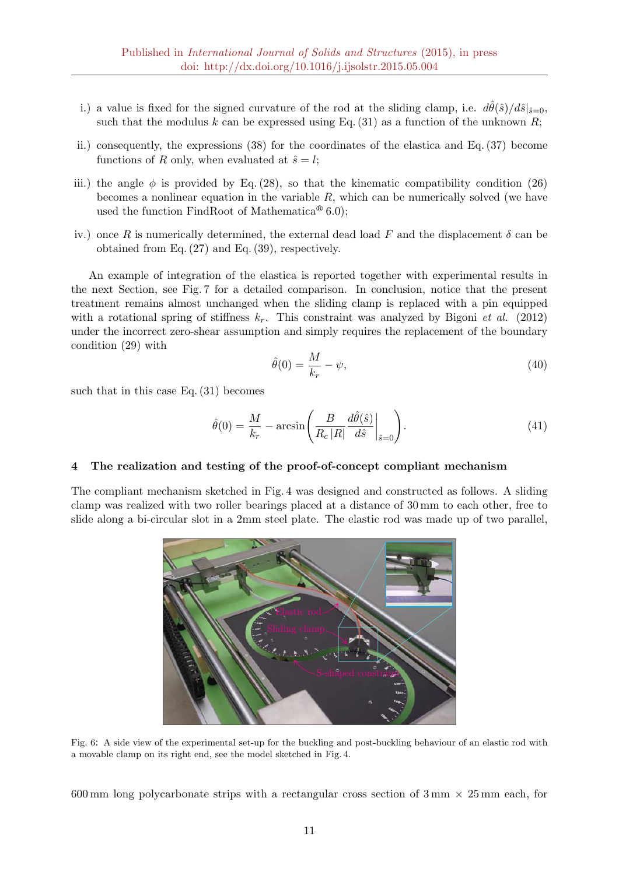- i.) a value is fixed for the signed curvature of the rod at the sliding clamp, i.e.  $d\hat{\theta}(\hat{s})/d\hat{s}|_{\hat{s}=0}$ , such that the modulus k can be expressed using Eq.  $(31)$  as a function of the unknown R;
- ii.) consequently, the expressions (38) for the coordinates of the elastica and Eq. (37) become functions of R only, when evaluated at  $\hat{s} = l$ ;
- iii.) the angle  $\phi$  is provided by Eq. (28), so that the kinematic compatibility condition (26) becomes a nonlinear equation in the variable  $R$ , which can be numerically solved (we have used the function FindRoot of Mathematica<sup>®</sup> 6.0);
- iv.) once R is numerically determined, the external dead load F and the displacement  $\delta$  can be obtained from Eq. (27) and Eq. (39), respectively.

An example of integration of the elastica is reported together with experimental results in the next Section, see Fig. 7 for a detailed comparison. In conclusion, notice that the present treatment remains almost unchanged when the sliding clamp is replaced with a pin equipped with a rotational spring of stiffness  $k_r$ . This constraint was analyzed by Bigoni *et al.* (2012) under the incorrect zero-shear assumption and simply requires the replacement of the boundary condition (29) with

$$
\hat{\theta}(0) = \frac{M}{k_r} - \psi,\tag{40}
$$

such that in this case Eq. (31) becomes

$$
\hat{\theta}(0) = \frac{M}{k_r} - \arcsin\left(\frac{B}{R_c|R|}\frac{d\hat{\theta}(\hat{s})}{d\hat{s}}\bigg|_{\hat{s}=0}\right).
$$
\n(41)

#### 4 The realization and testing of the proof-of-concept compliant mechanism

The compliant mechanism sketched in Fig. 4 was designed and constructed as follows. A sliding clamp was realized with two roller bearings placed at a distance of 30 mm to each other, free to slide along a bi-circular slot in a 2mm steel plate. The elastic rod was made up of two parallel,



Fig. 6: A side view of the experimental set-up for the buckling and post-buckling behaviour of an elastic rod with a movable clamp on its right end, see the model sketched in Fig. 4.

600 mm long polycarbonate strips with a rectangular cross section of  $3 \text{ mm} \times 25 \text{ mm}$  each, for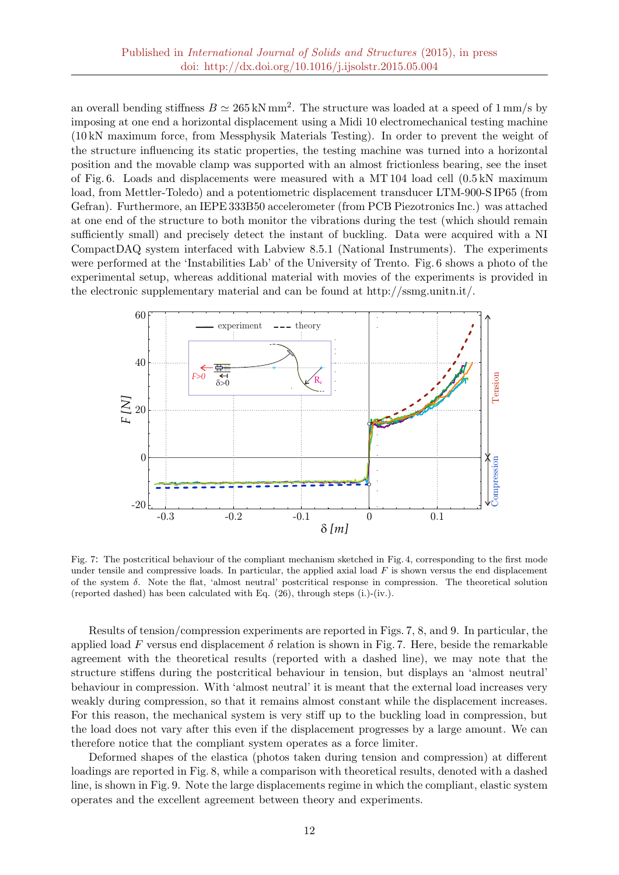an overall bending stiffness  $B \simeq 265 \,\mathrm{kN\,mm^2}$ . The structure was loaded at a speed of 1 mm/s by imposing at one end a horizontal displacement using a Midi 10 electromechanical testing machine (10 kN maximum force, from Messphysik Materials Testing). In order to prevent the weight of the structure influencing its static properties, the testing machine was turned into a horizontal position and the movable clamp was supported with an almost frictionless bearing, see the inset of Fig. 6. Loads and displacements were measured with a MT 104 load cell (0.5 kN maximum load, from Mettler-Toledo) and a potentiometric displacement transducer LTM-900-S IP65 (from Gefran). Furthermore, an IEPE 333B50 accelerometer (from PCB Piezotronics Inc.) was attached at one end of the structure to both monitor the vibrations during the test (which should remain sufficiently small) and precisely detect the instant of buckling. Data were acquired with a NI CompactDAQ system interfaced with Labview 8.5.1 (National Instruments). The experiments were performed at the 'Instabilities Lab' of the University of Trento. Fig. 6 shows a photo of the experimental setup, whereas additional material with movies of the experiments is provided in the electronic supplementary material and can be found at http://ssmg.unitn.it/.



Fig. 7: The postcritical behaviour of the compliant mechanism sketched in Fig. 4, corresponding to the first mode under tensile and compressive loads. In particular, the applied axial load  $F$  is shown versus the end displacement of the system  $\delta$ . Note the flat, 'almost neutral' postcritical response in compression. The theoretical solution (reported dashed) has been calculated with Eq. (26), through steps (i.)-(iv.).

Results of tension/compression experiments are reported in Figs. 7, 8, and 9. In particular, the applied load F versus end displacement  $\delta$  relation is shown in Fig. 7. Here, beside the remarkable agreement with the theoretical results (reported with a dashed line), we may note that the structure stiffens during the postcritical behaviour in tension, but displays an 'almost neutral' behaviour in compression. With 'almost neutral' it is meant that the external load increases very weakly during compression, so that it remains almost constant while the displacement increases. For this reason, the mechanical system is very stiff up to the buckling load in compression, but the load does not vary after this even if the displacement progresses by a large amount. We can therefore notice that the compliant system operates as a force limiter.

Deformed shapes of the elastica (photos taken during tension and compression) at different loadings are reported in Fig. 8, while a comparison with theoretical results, denoted with a dashed line, is shown in Fig. 9. Note the large displacements regime in which the compliant, elastic system operates and the excellent agreement between theory and experiments.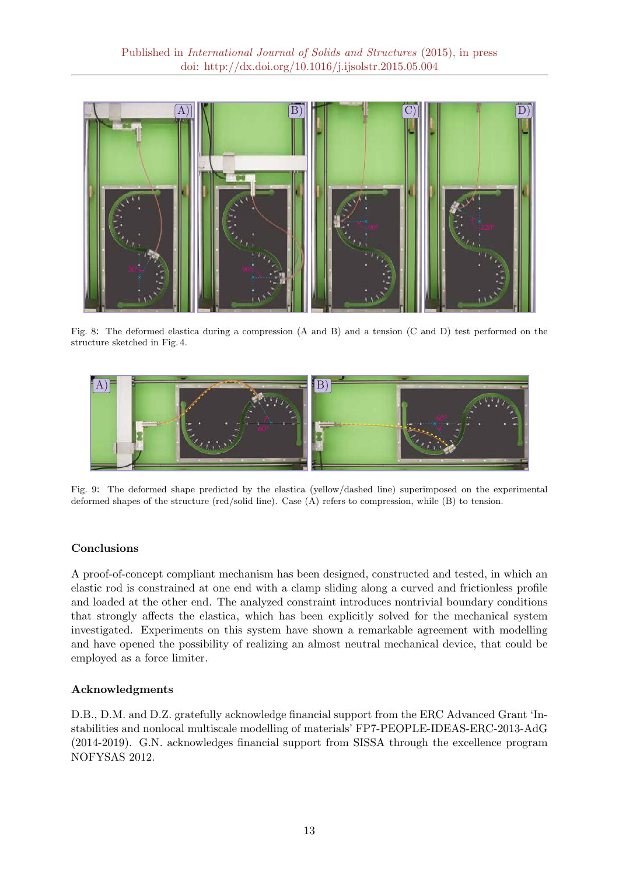

Fig. 8: The deformed elastica during a compression (A and B) and a tension (C and D) test performed on the structure sketched in Fig. 4.



Fig. 9: The deformed shape predicted by the elastica (yellow/dashed line) superimposed on the experimental deformed shapes of the structure (red/solid line). Case (A) refers to compression, while (B) to tension.

## Conclusions

A proof-of-concept compliant mechanism has been designed, constructed and tested, in which an elastic rod is constrained at one end with a clamp sliding along a curved and frictionless profile and loaded at the other end. The analyzed constraint introduces nontrivial boundary conditions that strongly affects the elastica, which has been explicitly solved for the mechanical system investigated. Experiments on this system have shown a remarkable agreement with modelling and have opened the possibility of realizing an almost neutral mechanical device, that could be employed as a force limiter.

## Acknowledgments

D.B., D.M. and D.Z. gratefully acknowledge financial support from the ERC Advanced Grant 'Instabilities and nonlocal multiscale modelling of materials' FP7-PEOPLE-IDEAS-ERC-2013-AdG (2014-2019). G.N. acknowledges financial support from SISSA through the excellence program NOFYSAS 2012.